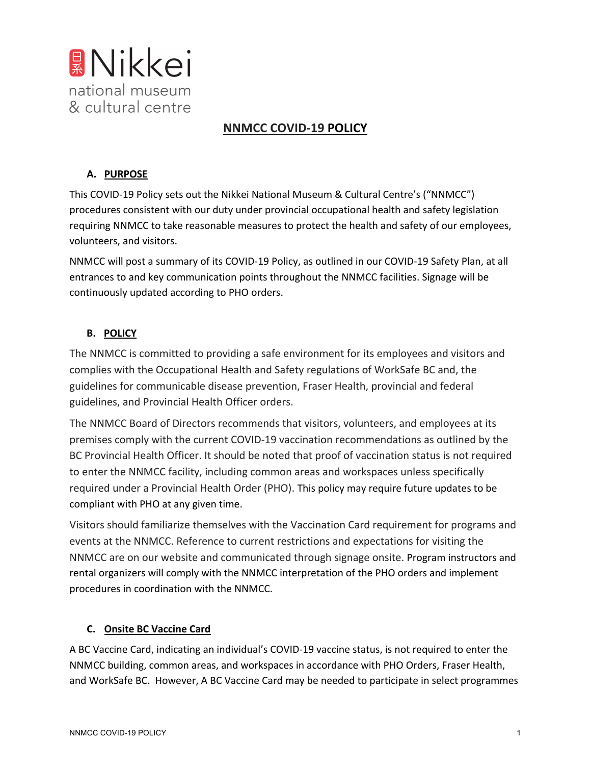

# **NNMCC COVID-19 POLICY**

# **A. PURPOSE**

This COVID-19 Policy sets out the Nikkei National Museum & Cultural Centre's ("NNMCC") procedures consistent with our duty under provincial occupational health and safety legislation requiring NNMCC to take reasonable measures to protect the health and safety of our employees, volunteers, and visitors.

NNMCC will post a summary of its COVID-19 Policy, as outlined in our COVID-19 Safety Plan, at all entrances to and key communication points throughout the NNMCC facilities. Signage will be continuously updated according to PHO orders.

# **B. POLICY**

The NNMCC is committed to providing a safe environment for its employees and visitors and complies with the Occupational Health and Safety regulations of WorkSafe BC and, the guidelines for communicable disease prevention, Fraser Health, provincial and federal guidelines, and Provincial Health Officer orders.

The NNMCC Board of Directors recommends that visitors, volunteers, and employees at its premises comply with the current COVID-19 vaccination recommendations as outlined by the BC Provincial Health Officer. It should be noted that proof of vaccination status is not required to enter the NNMCC facility, including common areas and workspaces unless specifically required under a Provincial Health Order (PHO). This policy may require future updates to be compliant with PHO at any given time.

Visitors should familiarize themselves with the Vaccination Card requirement for programs and events at the NNMCC. Reference to current restrictions and expectations for visiting the NNMCC are on our website and communicated through signage onsite. Program instructors and rental organizers will comply with the NNMCC interpretation of the PHO orders and implement procedures in coordination with the NNMCC.

### **C. Onsite BC Vaccine Card**

A BC Vaccine Card, indicating an individual's COVID-19 vaccine status, is not required to enter the NNMCC building, common areas, and workspaces in accordance with PHO Orders, Fraser Health, and WorkSafe BC. However, A BC Vaccine Card may be needed to participate in select programmes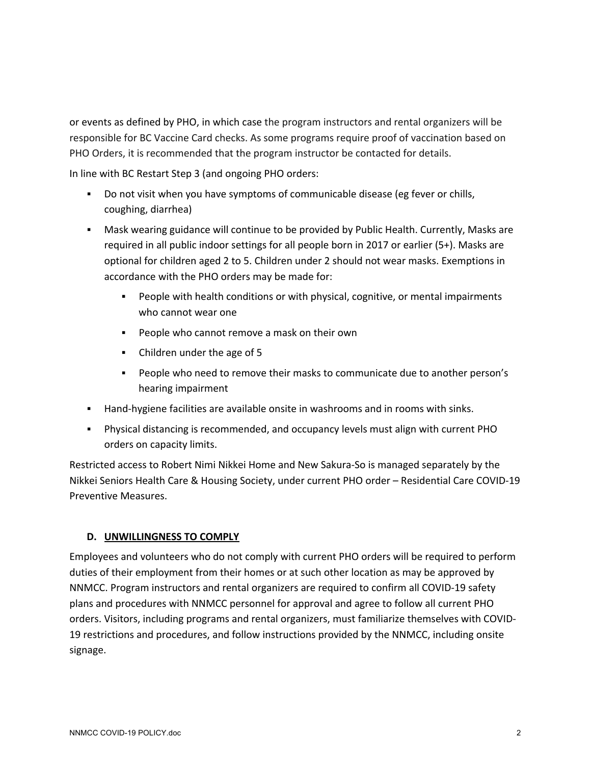or events as defined by PHO, in which case the program instructors and rental organizers will be responsible for BC Vaccine Card checks. As some programs require proof of vaccination based on PHO Orders, it is recommended that the program instructor be contacted for details.

In line with BC Restart Step 3 (and ongoing PHO orders:

- § Do not visit when you have symptoms of communicable disease (eg fever or chills, coughing, diarrhea)
- § Mask wearing guidance will continue to be provided by Public Health. Currently, Masks are required in all public indoor settings for all people born in 2017 or earlier (5+). Masks are optional for children aged 2 to 5. Children under 2 should not wear masks. Exemptions in accordance with the PHO orders may be made for:
	- § People with health conditions or with physical, cognitive, or mental impairments who cannot wear one
	- People who cannot remove a mask on their own
	- Children under the age of 5
	- § People who need to remove their masks to communicate due to another person's hearing impairment
- **Hand-hygiene facilities are available onsite in washrooms and in rooms with sinks.**
- § Physical distancing is recommended, and occupancy levels must align with current PHO orders on capacity limits.

Restricted access to Robert Nimi Nikkei Home and New Sakura-So is managed separately by the Nikkei Seniors Health Care & Housing Society, under current PHO order – Residential Care COVID-19 Preventive Measures.

### **D. UNWILLINGNESS TO COMPLY**

Employees and volunteers who do not comply with current PHO orders will be required to perform duties of their employment from their homes or at such other location as may be approved by NNMCC. Program instructors and rental organizers are required to confirm all COVID-19 safety plans and procedures with NNMCC personnel for approval and agree to follow all current PHO orders. Visitors, including programs and rental organizers, must familiarize themselves with COVID-19 restrictions and procedures, and follow instructions provided by the NNMCC, including onsite signage.